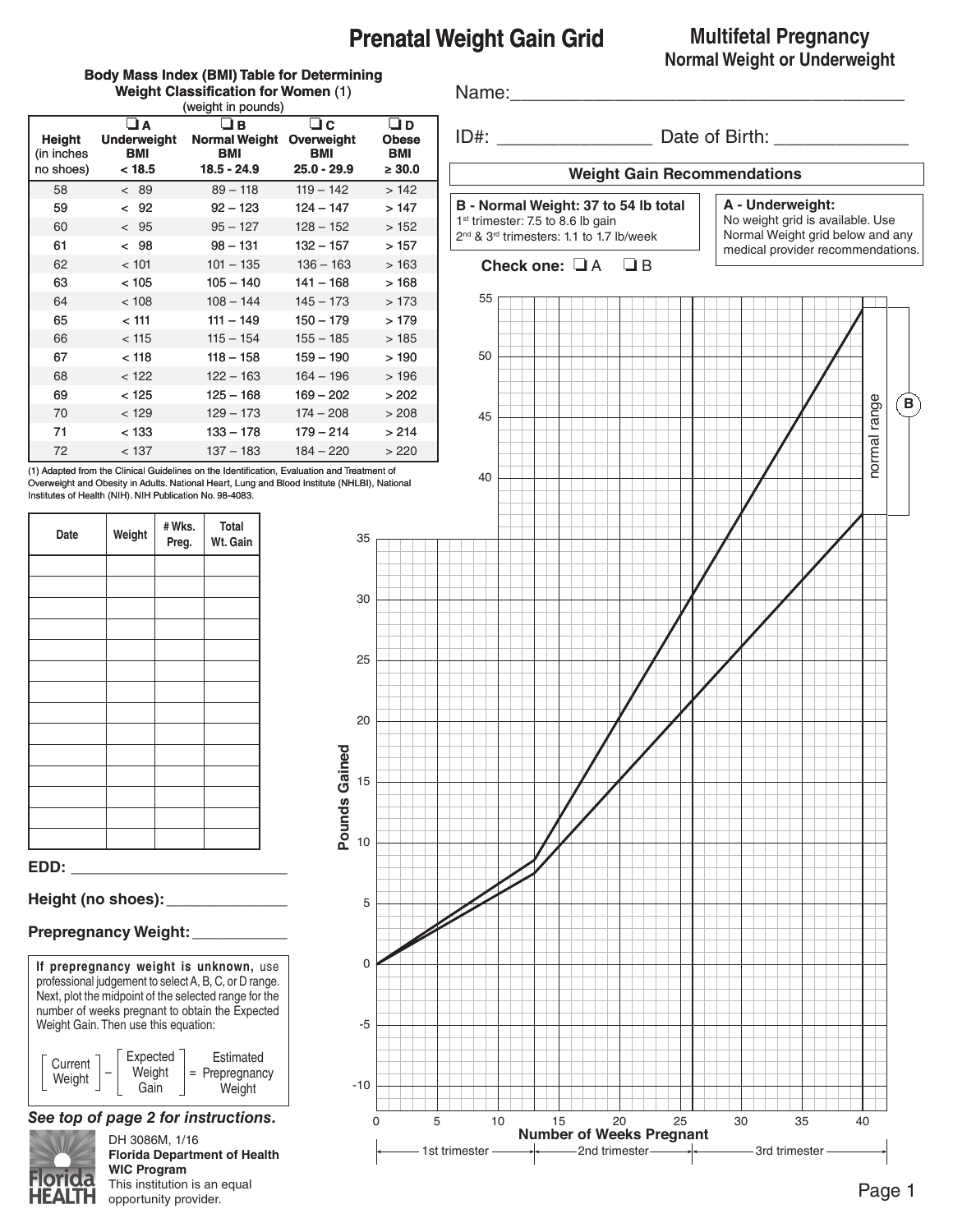# **Prenatal Weight Gain Grid**

## **Multifetal Pregnancy Normal Weight or Underweight**

#### **Body Mass Index (BMI) Table for Determining Weight Classification for Women** (1) (weight in pounds)

Name:

| <b>Height</b><br>(in inches<br>no shoes) | $\sqcup$ A<br><b>Underweight</b><br>BMI<br>< 18.5 | $\Box$ B<br><b>Normal Weight</b><br>BMI<br>$18.5 - 24.9$ | $\Box c$<br>Overweight<br>BMI<br>$25.0 - 29.9$ | $\Box$ D<br><b>Obese</b><br>BMI<br>$\geq 30.0$ |
|------------------------------------------|---------------------------------------------------|----------------------------------------------------------|------------------------------------------------|------------------------------------------------|
| 58                                       | < 89                                              | $89 - 118$                                               | $119 - 142$                                    | >142                                           |
| 59                                       | < 92                                              | $92 - 123$                                               | $124 - 147$                                    | >147                                           |
| 60                                       | < 95                                              | $95 - 127$                                               | $128 - 152$                                    | >152                                           |
| 61                                       | < 98                                              | $98 - 131$                                               | $132 - 157$                                    | >157                                           |
| 62                                       | < 101                                             | $101 - 135$                                              | $136 - 163$                                    | >163                                           |
| 63                                       | < 105                                             | $105 - 140$                                              | 141 - 168                                      | > 168                                          |
| 64                                       | < 108                                             | $108 - 144$                                              | $145 - 173$                                    | >173                                           |
| 65                                       | < 111                                             | $111 - 149$                                              | $150 - 179$                                    | >179                                           |
| 66                                       | < 115                                             | $115 - 154$                                              | $155 - 185$                                    | >185                                           |
| 67                                       | < 118                                             | $118 - 158$                                              | 159 - 190                                      | >190                                           |
| 68                                       | < 122                                             | $122 - 163$                                              | $164 - 196$                                    | >196                                           |
| 69                                       | < 125                                             | 125 - 168                                                | 169 – 202                                      | > 202                                          |
| 70                                       | < 129                                             | $129 - 173$                                              | $174 - 208$                                    | > 208                                          |
| 71                                       | < 133                                             | 133 - 178                                                | 179 – 214                                      | > 214                                          |
| 72                                       | < 137                                             | $137 - 183$                                              | $184 - 220$                                    | >220                                           |

(1) Adapted from the Clinical Guidelines on the Identification, Evaluation and Treatment of Overweight and Obesity in Adults. National Heart, Lung and Blood Institute (NHLBI), National Institutes of Health (NIH). NIH Publication No. 98-4083.

35

30

25

20

15

**Pounds Gaine**

**d**

10

5

0

-5

-10

| Weight | #Wks.<br>Preg. | Total<br>Wt. Gain |
|--------|----------------|-------------------|
|        |                |                   |
|        |                |                   |
|        |                |                   |
|        |                |                   |
|        |                |                   |
|        |                |                   |
|        |                |                   |
|        |                |                   |
|        |                |                   |
|        |                |                   |
|        |                |                   |
|        |                |                   |
|        |                |                   |
|        |                |                   |

#### **EDD: \_\_\_\_\_\_\_\_\_\_\_\_\_\_\_\_\_\_\_\_\_\_\_\_\_**

## **Height (no shoes):\_\_\_\_\_\_\_\_\_\_\_\_\_\_**

## **Prepregnancy Weight:**\_\_\_\_\_\_\_\_\_\_\_



## *See top of page 2 for instructions.*



DH 3086M, 1/16 **Florida Department of Health WIC Program** This institution is an equal opportunity provider.

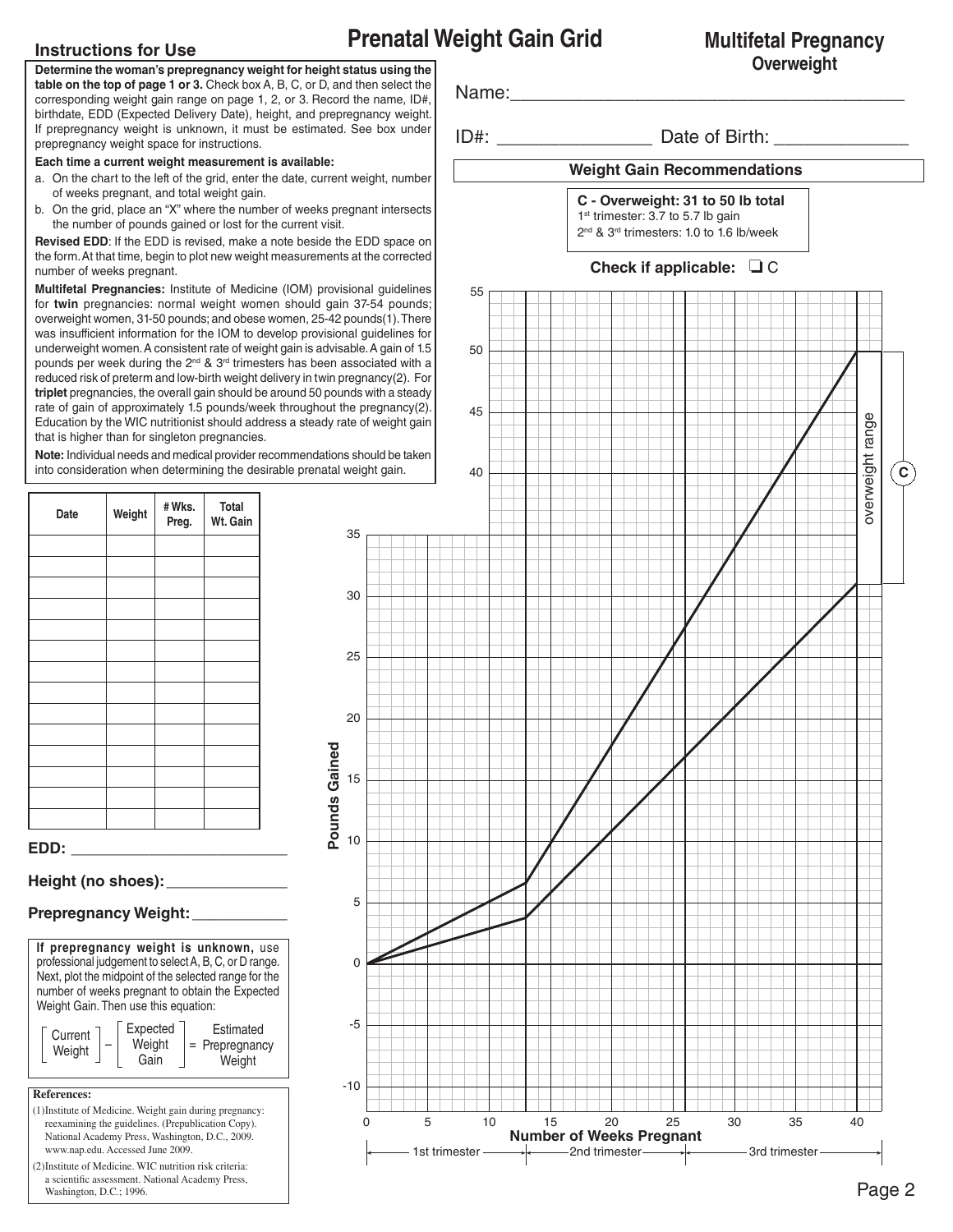# **Prenatal Weight Gain Grid**

## **Instructions for Use**

**Determine the woman's prepregnancy weight for height status using the table on the top of page 1 or 3.** Check box A, B, C, or D, and then select the corresponding weight gain range on page 1, 2, or 3. Record the name, ID#, birthdate, EDD (Expected Delivery Date), height, and prepregnancy weight. If prepregnancy weight is unknown, it must be estimated. See box under prepregnancy weight space for instructions.

#### **Each time a current weight measurement is available:**

- a. On the chart to the left of the grid, enter the date, current weight, number of weeks pregnant, and total weight gain.
- b. On the grid, place an "X" where the number of weeks pregnant intersects the number of pounds gained or lost for the current visit.

**Revised EDD**: If the EDD is revised, make a note beside the EDD space on the form. At that time, begin to plot new weight measurements at the corrected number of weeks pregnant.

**Multifetal Pregnancies:** Institute of Medicine (IOM) provisional guidelines for **twin** pregnancies: normal weight women should gain 37-54 pounds; overweight women, 31-50 pounds; and obese women, 25-42 pounds(1). There was insufficient information for the IOM to develop provisional guidelines for underweight women. A consistent rate of weight gain is advisable. A gain of 1.5 pounds per week during the  $2^{nd}$  &  $3^{rd}$  trimesters has been associated with a reduced risk of preterm and low-birth weight delivery in twin pregnancy(2). For **triplet** pregnancies, the overall gain should be around 50 pounds with a steady rate of gain of approximately 1.5 pounds/week throughout the pregnancy(2). Education by the WIC nutritionist should address a steady rate of weight gain that is higher than for singleton pregnancies.

**Note:** Individual needs and medical provider recommendations should be taken into consideration when determining the desirable prenatal weight gain.

35

30

| Date | Weight | #Wks.<br>Preg. | Total<br>Wt. Gain |
|------|--------|----------------|-------------------|
|      |        |                |                   |
|      |        |                |                   |
|      |        |                |                   |
|      |        |                |                   |
|      |        |                |                   |
|      |        |                |                   |
|      |        |                |                   |
|      |        |                |                   |
|      |        |                |                   |
|      |        |                |                   |
|      |        |                |                   |
|      |        |                |                   |
|      |        |                |                   |
| EDD: |        |                |                   |

## **Height (no shoes):\_\_\_\_\_\_\_\_\_\_\_\_\_\_**

## **Prepregnancy Weight:**\_\_\_\_\_\_\_\_\_\_\_

**References: If prepregnancy weight is unknown,** use professional judgement to select A, B, C, or D range. Next, plot the midpoint of the selected range for the number of weeks pregnant to obtain the Expected Weight Gain. Then use this equation: Estimated = Prepregnancy Weight – | Weight |= Expected Gain **Current** Weight

- (1)Institute of Medicine. Weight gain during pregnancy: reexamining the guidelines. (Prepublication Copy). National Academy Press, Washington, D.C., 2009. www.nap.edu. Accessed June 2009.
- (2)Institute of Medicine. WIC nutrition risk criteria: a scientific assessment. National Academy Press,  $\blacksquare$  Washington, D.C.; 1996. **Page 2**





## **Multifetal Pregnancy Overweight**

 **C**